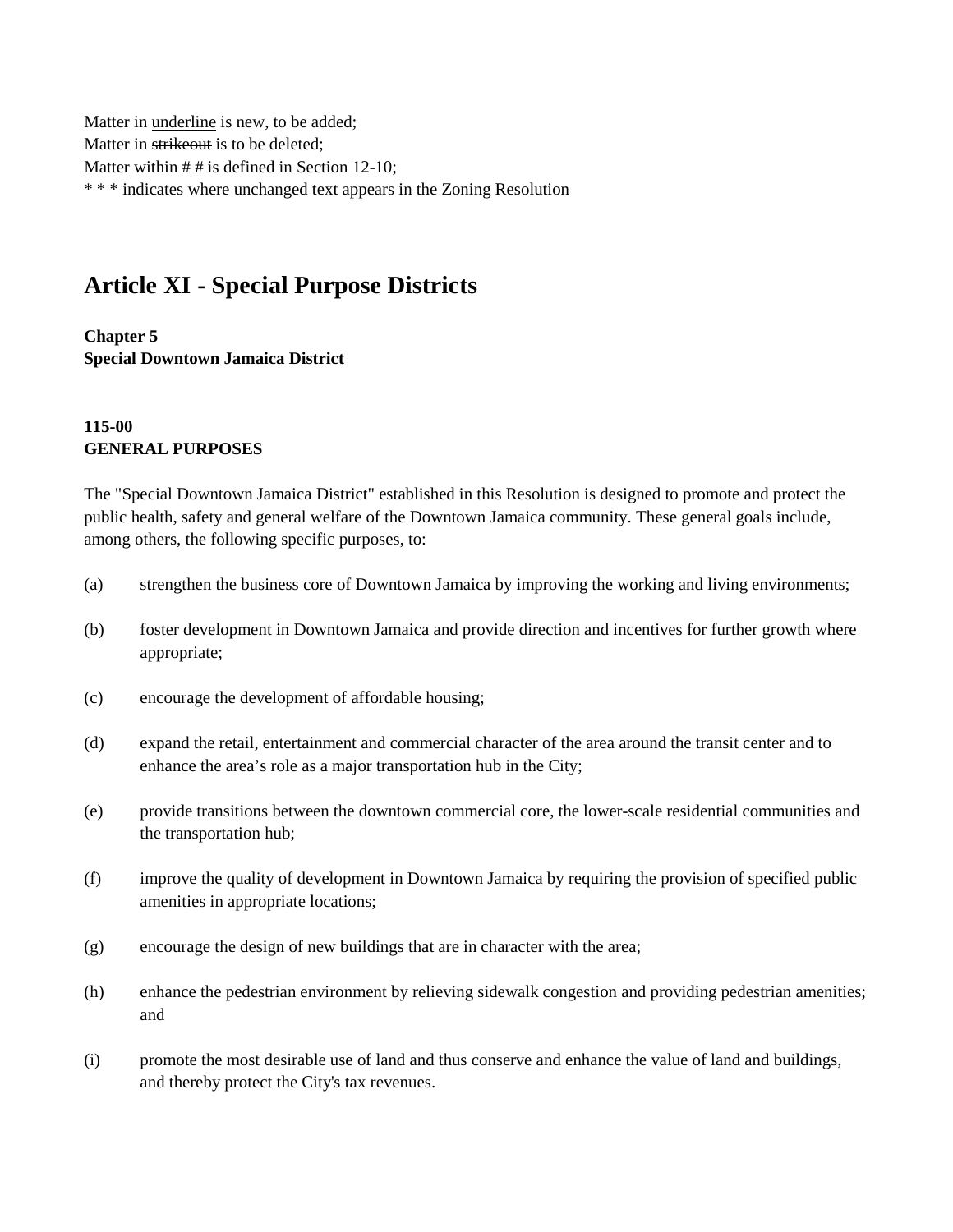Matter in underline is new, to be added; Matter in strikeout is to be deleted; Matter within  $# #$  is defined in Section 12-10; \* \* \* indicates where unchanged text appears in the Zoning Resolution

# **Article XI - Special Purpose Districts**

**Chapter 5 Special Downtown Jamaica District**

### **115-00 GENERAL PURPOSES**

The "Special Downtown Jamaica District" established in this Resolution is designed to promote and protect the public health, safety and general welfare of the Downtown Jamaica community. These general goals include, among others, the following specific purposes, to:

- (a) strengthen the business core of Downtown Jamaica by improving the working and living environments;
- (b) foster development in Downtown Jamaica and provide direction and incentives for further growth where appropriate;
- (c) encourage the development of affordable housing;
- (d) expand the retail, entertainment and commercial character of the area around the transit center and to enhance the area's role as a major transportation hub in the City;
- (e) provide transitions between the downtown commercial core, the lower-scale residential communities and the transportation hub;
- (f) improve the quality of development in Downtown Jamaica by requiring the provision of specified public amenities in appropriate locations;
- (g) encourage the design of new buildings that are in character with the area;
- (h) enhance the pedestrian environment by relieving sidewalk congestion and providing pedestrian amenities; and
- (i) promote the most desirable use of land and thus conserve and enhance the value of land and buildings, and thereby protect the City's tax revenues.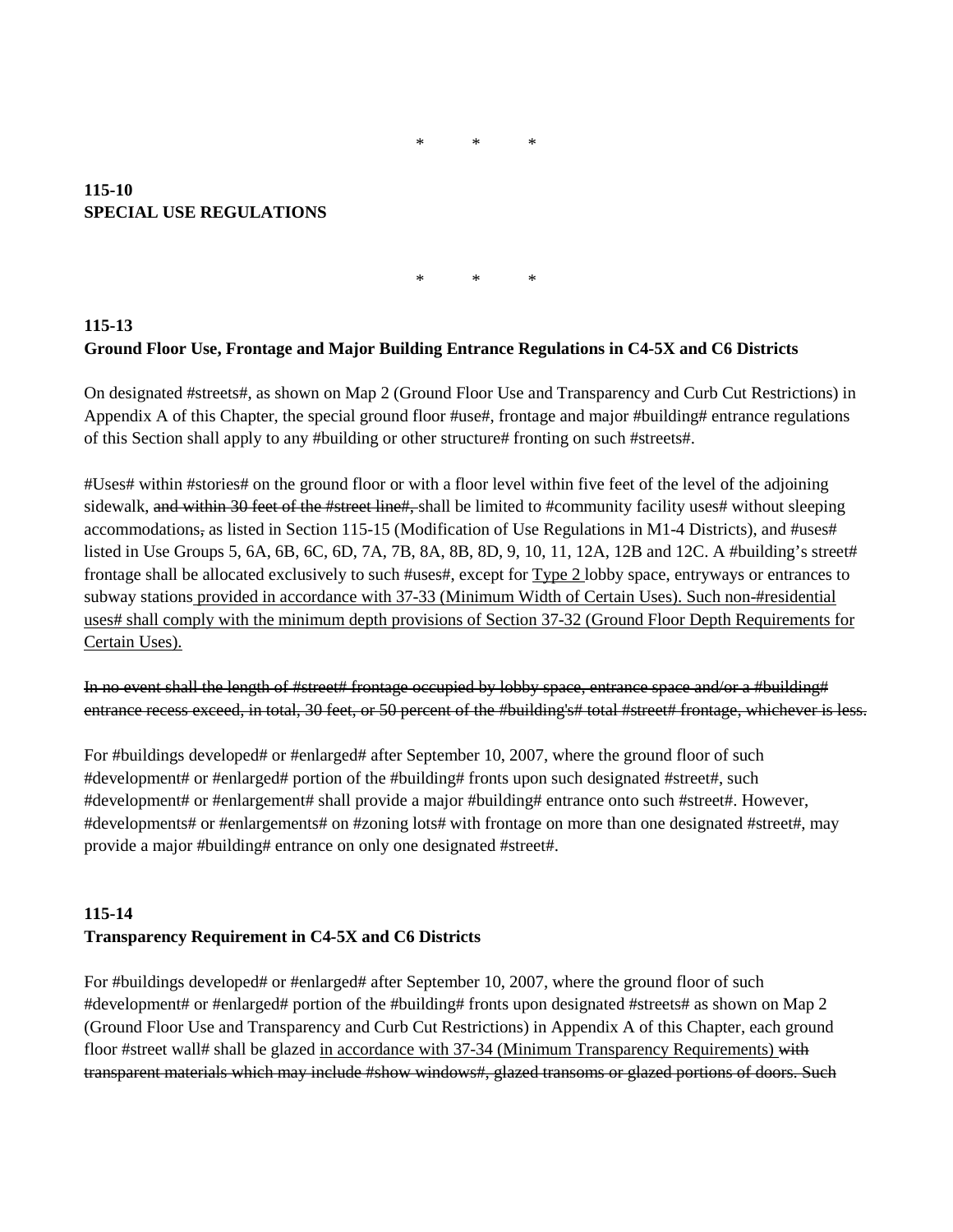### \* \* \*

### **115-10 SPECIAL USE REGULATIONS**

\* \* \*

# **115-13 Ground Floor Use, Frontage and Major Building Entrance Regulations in C4-5X and C6 Districts**

On designated #streets#, as shown on Map 2 (Ground Floor Use and Transparency and Curb Cut Restrictions) in Appendix A of this Chapter, the special ground floor #use#, frontage and major #building# entrance regulations of this Section shall apply to any #building or other structure# fronting on such #streets#.

#Uses# within #stories# on the ground floor or with a floor level within five feet of the level of the adjoining sidewalk, and within 30 feet of the #street line#, shall be limited to #community facility uses# without sleeping accommodations, as listed in Section 115-15 (Modification of Use Regulations in M1-4 Districts), and #uses# listed in Use Groups 5, 6A, 6B, 6C, 6D, 7A, 7B, 8A, 8B, 8D, 9, 10, 11, 12A, 12B and 12C. A #building's street# frontage shall be allocated exclusively to such #uses#, except for Type 2 lobby space, entryways or entrances to subway stations provided in accordance with 37-33 (Minimum Width of Certain Uses). Such non-#residential uses# shall comply with the minimum depth provisions of Section 37-32 (Ground Floor Depth Requirements for Certain Uses).

In no event shall the length of #street# frontage occupied by lobby space, entrance space and/or a #building# entrance recess exceed, in total, 30 feet, or 50 percent of the #building's# total #street# frontage, whichever is less.

For #buildings developed# or #enlarged# after September 10, 2007, where the ground floor of such #development# or #enlarged# portion of the #building# fronts upon such designated #street#, such #development# or #enlargement# shall provide a major #building# entrance onto such #street#. However, #developments# or #enlargements# on #zoning lots# with frontage on more than one designated #street#, may provide a major #building# entrance on only one designated #street#.

# **115-14 Transparency Requirement in C4-5X and C6 Districts**

For #buildings developed# or #enlarged# after September 10, 2007, where the ground floor of such #development# or #enlarged# portion of the #building# fronts upon designated #streets# as shown on Map 2 (Ground Floor Use and Transparency and Curb Cut Restrictions) in Appendix A of this Chapter, each ground floor #street wall# shall be glazed in accordance with 37-34 (Minimum Transparency Requirements) with transparent materials which may include #show windows#, glazed transoms or glazed portions of doors. Such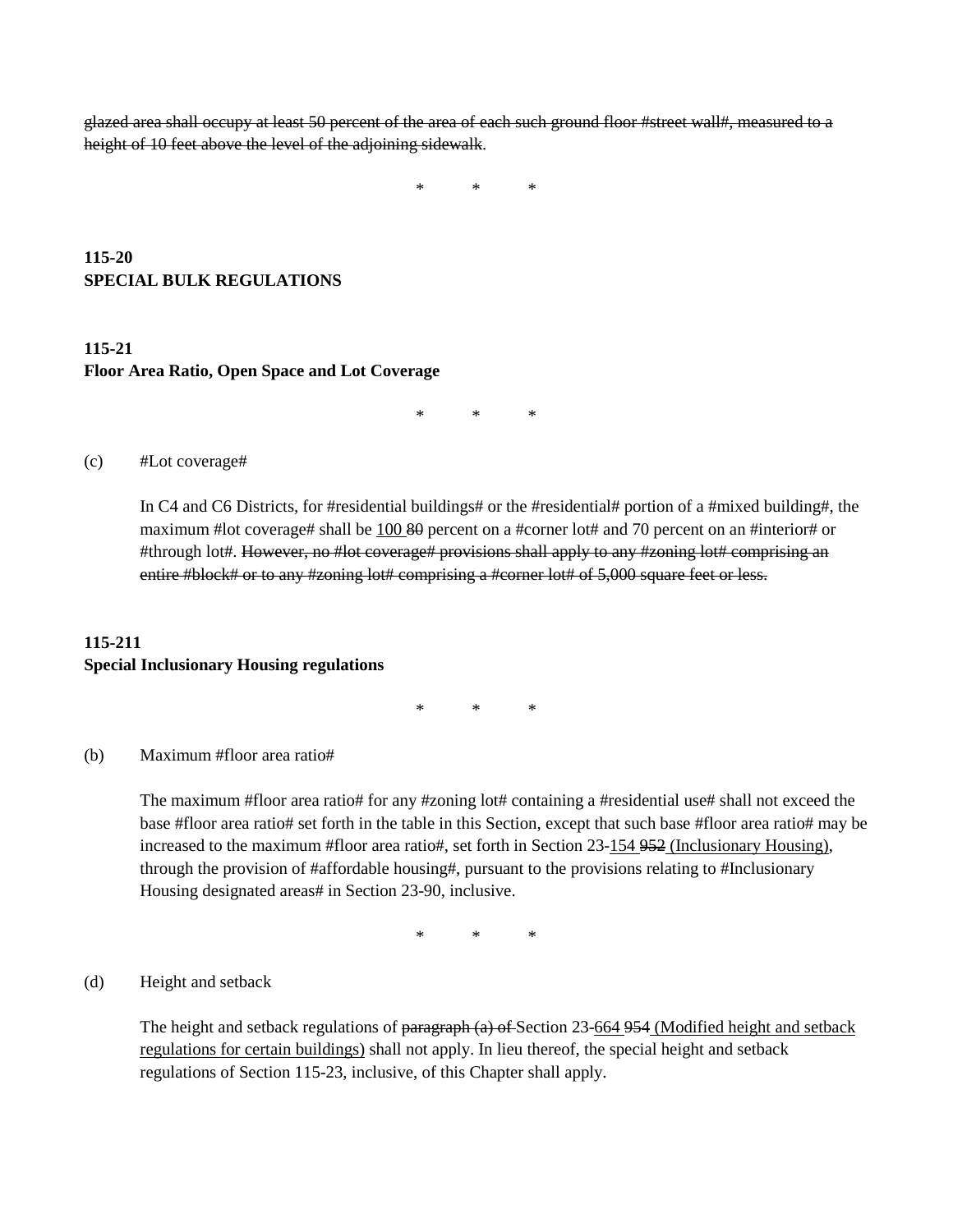glazed area shall occupy at least 50 percent of the area of each such ground floor #street wall#, measured to a height of 10 feet above the level of the adjoining sidewalk.

\* \* \*

### **115-20 SPECIAL BULK REGULATIONS**

# **115-21 Floor Area Ratio, Open Space and Lot Coverage**

 $*$  \* \*

#### (c) #Lot coverage#

In C4 and C6 Districts, for #residential buildings# or the #residential# portion of a #mixed building#, the maximum #lot coverage# shall be 100 80 percent on a #corner lot# and 70 percent on an #interior# or #through lot#. However, no #lot coverage# provisions shall apply to any #zoning lot# comprising an entire #block# or to any #zoning lot# comprising a #corner lot# of 5,000 square feet or less.

### **115-211 Special Inclusionary Housing regulations**

\* \* \*

#### (b) Maximum #floor area ratio#

The maximum #floor area ratio# for any #zoning lot# containing a #residential use# shall not exceed the base #floor area ratio# set forth in the table in this Section, except that such base #floor area ratio# may be increased to the maximum #floor area ratio#, set forth in Section 23-154 952 (Inclusionary Housing), through the provision of #affordable housing#, pursuant to the provisions relating to #Inclusionary Housing designated areas# in Section 23-90, inclusive.

\* \* \*

#### (d) Height and setback

The height and setback regulations of paragraph (a) of Section 23-664 954 (Modified height and setback regulations for certain buildings) shall not apply. In lieu thereof, the special height and setback regulations of Section 115-23, inclusive, of this Chapter shall apply.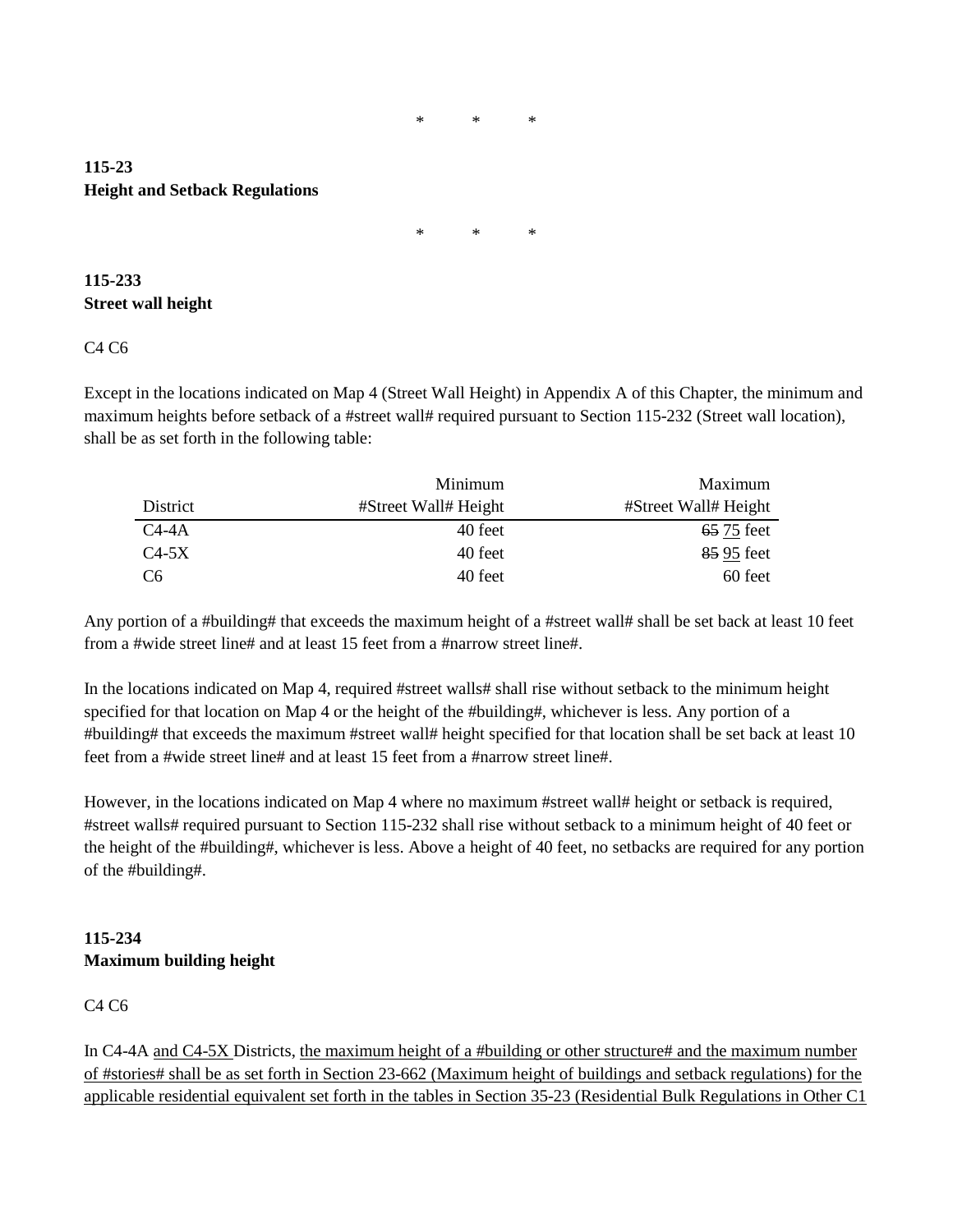\* \* \*

# **115-23 Height and Setback Regulations**

\* \* \*

# **115-233 Street wall height**

# C4 C6

Except in the locations indicated on Map 4 (Street Wall Height) in Appendix A of this Chapter, the minimum and maximum heights before setback of a #street wall# required pursuant to Section 115-232 (Street wall location), shall be as set forth in the following table:

|                | Minimum              | Maximum              |
|----------------|----------------------|----------------------|
| District       | #Street Wall# Height | #Street Wall# Height |
| $C4-4A$        | 40 feet              | 65 75 feet           |
| $C4-5X$        | 40 feet              | 85 95 feet           |
| C <sub>6</sub> | 40 feet              | 60 feet              |

Any portion of a #building# that exceeds the maximum height of a #street wall# shall be set back at least 10 feet from a #wide street line# and at least 15 feet from a #narrow street line#.

In the locations indicated on Map 4, required #street walls# shall rise without setback to the minimum height specified for that location on Map 4 or the height of the #building#, whichever is less. Any portion of a #building# that exceeds the maximum #street wall# height specified for that location shall be set back at least 10 feet from a #wide street line# and at least 15 feet from a #narrow street line#.

However, in the locations indicated on Map 4 where no maximum #street wall# height or setback is required, #street walls# required pursuant to Section 115-232 shall rise without setback to a minimum height of 40 feet or the height of the #building#, whichever is less. Above a height of 40 feet, no setbacks are required for any portion of the #building#.

# **115-234 Maximum building height**

# C4 C6

In C4-4A and C4-5X Districts, the maximum height of a #building or other structure# and the maximum number of #stories# shall be as set forth in Section 23-662 (Maximum height of buildings and setback regulations) for the applicable residential equivalent set forth in the tables in Section 35-23 (Residential Bulk Regulations in Other C1